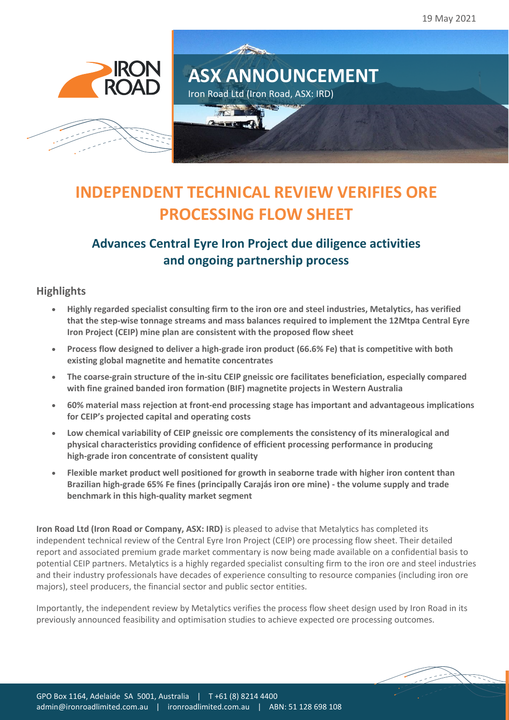19 May 2021





# All Council **ASX ANNOUNCEMENT** Iron Road Ltd (Iron Road, ASX: IRD)

# **INDEPENDENT TECHNICAL REVIEW VERIFIES ORE PROCESSING FLOW SHEET**

## **Advances Central Eyre Iron Project due diligence activities and ongoing partnership process**

### **Highlights**

- **Highly regarded specialist consulting firm to the iron ore and steel industries, Metalytics, has verified that the step-wise tonnage streams and mass balances required to implement the 12Mtpa Central Eyre Iron Project (CEIP) mine plan are consistent with the proposed flow sheet**
- **Process flow designed to deliver a high-grade iron product (66.6% Fe) that is competitive with both existing global magnetite and hematite concentrates**
- **The coarse-grain structure of the in-situ CEIP gneissic ore facilitates beneficiation, especially compared with fine grained banded iron formation (BIF) magnetite projects in Western Australia**
- **60% material mass rejection at front-end processing stage has important and advantageous implications for CEIP's projected capital and operating costs**
- **Low chemical variability of CEIP gneissic ore complements the consistency of its mineralogical and physical characteristics providing confidence of efficient processing performance in producing high-grade iron concentrate of consistent quality**
- **Flexible market product well positioned for growth in seaborne trade with higher iron content than Brazilian high-grade 65% Fe fines (principally Carajás iron ore mine) - the volume supply and trade benchmark in this high-quality market segment**

**Iron Road Ltd (Iron Road or Company, ASX: IRD)** is pleased to advise that Metalytics has completed its independent technical review of the Central Eyre Iron Project (CEIP) ore processing flow sheet. Their detailed report and associated premium grade market commentary is now being made available on a confidential basis to potential CEIP partners. Metalytics is a highly regarded specialist consulting firm to the iron ore and steel industries and their industry professionals have decades of experience consulting to resource companies (including iron ore majors), steel producers, the financial sector and public sector entities.

Importantly, the independent review by Metalytics verifies the process flow sheet design used by Iron Road in its previously announced feasibility and optimisation studies to achieve expected ore processing outcomes.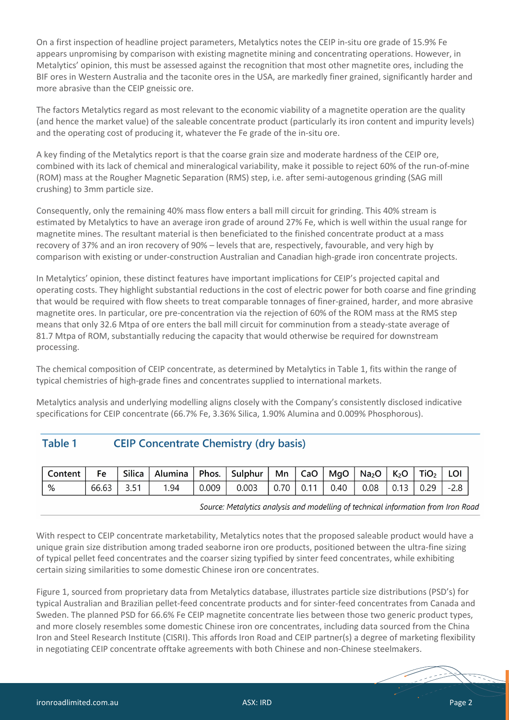On a first inspection of headline project parameters, Metalytics notes the CEIP in-situ ore grade of 15.9% Fe appears unpromising by comparison with existing magnetite mining and concentrating operations. However, in Metalytics' opinion, this must be assessed against the recognition that most other magnetite ores, including the BIF ores in Western Australia and the taconite ores in the USA, are markedly finer grained, significantly harder and more abrasive than the CEIP gneissic ore.

The factors Metalytics regard as most relevant to the economic viability of a magnetite operation are the quality (and hence the market value) of the saleable concentrate product (particularly its iron content and impurity levels) and the operating cost of producing it, whatever the Fe grade of the in-situ ore.

A key finding of the Metalytics report is that the coarse grain size and moderate hardness of the CEIP ore, combined with its lack of chemical and mineralogical variability, make it possible to reject 60% of the run-of-mine (ROM) mass at the Rougher Magnetic Separation (RMS) step, i.e. after semi-autogenous grinding (SAG mill crushing) to 3mm particle size.

Consequently, only the remaining 40% mass flow enters a ball mill circuit for grinding. This 40% stream is estimated by Metalytics to have an average iron grade of around 27% Fe, which is well within the usual range for magnetite mines. The resultant material is then beneficiated to the finished concentrate product at a mass recovery of 37% and an iron recovery of 90% – levels that are, respectively, favourable, and very high by comparison with existing or under-construction Australian and Canadian high-grade iron concentrate projects.

In Metalytics' opinion, these distinct features have important implications for CEIP's projected capital and operating costs. They highlight substantial reductions in the cost of electric power for both coarse and fine grinding that would be required with flow sheets to treat comparable tonnages of finer-grained, harder, and more abrasive magnetite ores. In particular, ore pre-concentration via the rejection of 60% of the ROM mass at the RMS step means that only 32.6 Mtpa of ore enters the ball mill circuit for comminution from a steady-state average of 81.7 Mtpa of ROM, substantially reducing the capacity that would otherwise be required for downstream processing.

The chemical composition of CEIP concentrate, as determined by Metalytics in Table 1, fits within the range of typical chemistries of high-grade fines and concentrates supplied to international markets.

Metalytics analysis and underlying modelling aligns closely with the Company's consistently disclosed indicative specifications for CEIP concentrate (66.7% Fe, 3.36% Silica, 1.90% Alumina and 0.009% Phosphorous).

#### Table 1 **CEIP Concentrate Chemistry (dry basis)**

| Content  | $^{\prime}$ Fe $^-$ | Silica   Alumina   Phos.   Sulphur   Mn   CaO   MgO   Na <sub>2</sub> O   K <sub>2</sub> O   TiO <sub>2</sub>   LOI |       |                                                   |  |  |  |        |
|----------|---------------------|---------------------------------------------------------------------------------------------------------------------|-------|---------------------------------------------------|--|--|--|--------|
| $\mid$ % | $66.63$   3.51      | 1.94                                                                                                                | 0.009 | $0.003$   0.70   0.11   0.40   0.08   0.13   0.29 |  |  |  | $-2.8$ |

Source: Metalytics analysis and modelling of technical information from Iron Road

With respect to CEIP concentrate marketability, Metalytics notes that the proposed saleable product would have a unique grain size distribution among traded seaborne iron ore products, positioned between the ultra-fine sizing of typical pellet feed concentrates and the coarser sizing typified by sinter feed concentrates, while exhibiting certain sizing similarities to some domestic Chinese iron ore concentrates.

Figure 1, sourced from proprietary data from Metalytics database, illustrates particle size distributions (PSD's) for typical Australian and Brazilian pellet-feed concentrate products and for sinter-feed concentrates from Canada and Sweden. The planned PSD for 66.6% Fe CEIP magnetite concentrate lies between those two generic product types, and more closely resembles some domestic Chinese iron ore concentrates, including data sourced from the China Iron and Steel Research Institute (CISRI). This affords Iron Road and CEIP partner(s) a degree of marketing flexibility in negotiating CEIP concentrate offtake agreements with both Chinese and non-Chinese steelmakers.